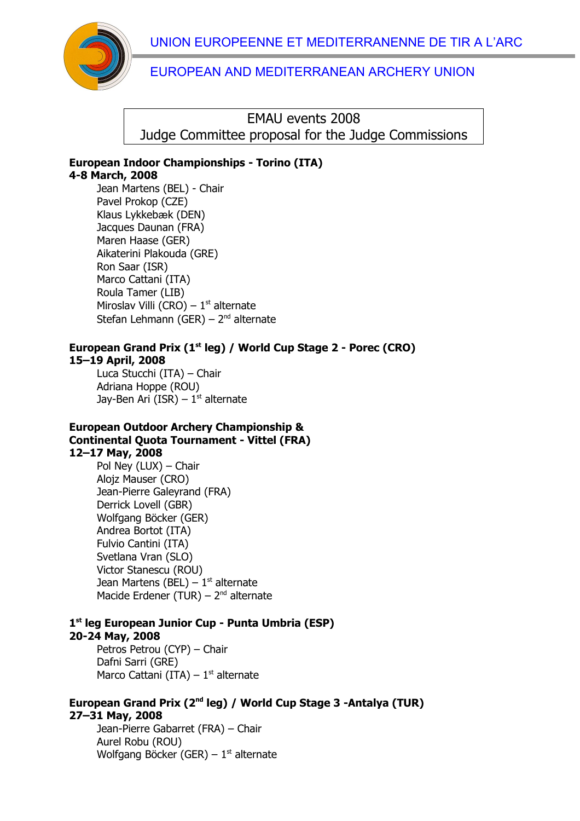UNION EUROPEENNE ET MEDITERRANENNE DE TIR A L'ARC



## EUROPEAN AND MEDITERRANEAN ARCHERY UNION

EMAU events 2008 Judge Committee proposal for the Judge Commissions

### **European Indoor Championships - Torino (ITA) 4-8 March, 2008**

Jean Martens (BEL) - Chair Pavel Prokop (CZE) Klaus Lykkebæk (DEN) Jacques Daunan (FRA) Maren Haase (GER) Aikaterini Plakouda (GRE) Ron Saar (ISR) Marco Cattani (ITA) Roula Tamer (LIB) Miroslav Villi (CRO) –  $1<sup>st</sup>$  alternate Stefan Lehmann (GER) –  $2<sup>nd</sup>$  alternate

### **European Grand Prix (1st leg) / World Cup Stage 2 - Porec (CRO) 15–19 April, 2008**

Luca Stucchi (ITA) – Chair Adriana Hoppe (ROU) Jay-Ben Ari (ISR) –  $1<sup>st</sup>$  alternate

#### **European Outdoor Archery Championship & Continental Quota Tournament - Vittel (FRA) 12–17 May, 2008**

Pol Ney (LUX) – Chair Alojz Mauser (CRO) Jean-Pierre Galeyrand (FRA) Derrick Lovell (GBR) Wolfgang Böcker (GER) Andrea Bortot (ITA) Fulvio Cantini (ITA) Svetlana Vran (SLO) Victor Stanescu (ROU) Jean Martens (BEL) –  $1<sup>st</sup>$  alternate Macide Erdener (TUR) –  $2<sup>nd</sup>$  alternate

# **1 st leg European Junior Cup - Punta Umbria (ESP)**

### **20-24 May, 2008**

Petros Petrou (CYP) – Chair Dafni Sarri (GRE) Marco Cattani (ITA) –  $1<sup>st</sup>$  alternate

## **European Grand Prix (2nd leg) / World Cup Stage 3 -Antalya (TUR) 27–31 May, 2008**

Jean-Pierre Gabarret (FRA) – Chair Aurel Robu (ROU) Wolfgang Böcker (GER) –  $1<sup>st</sup>$  alternate